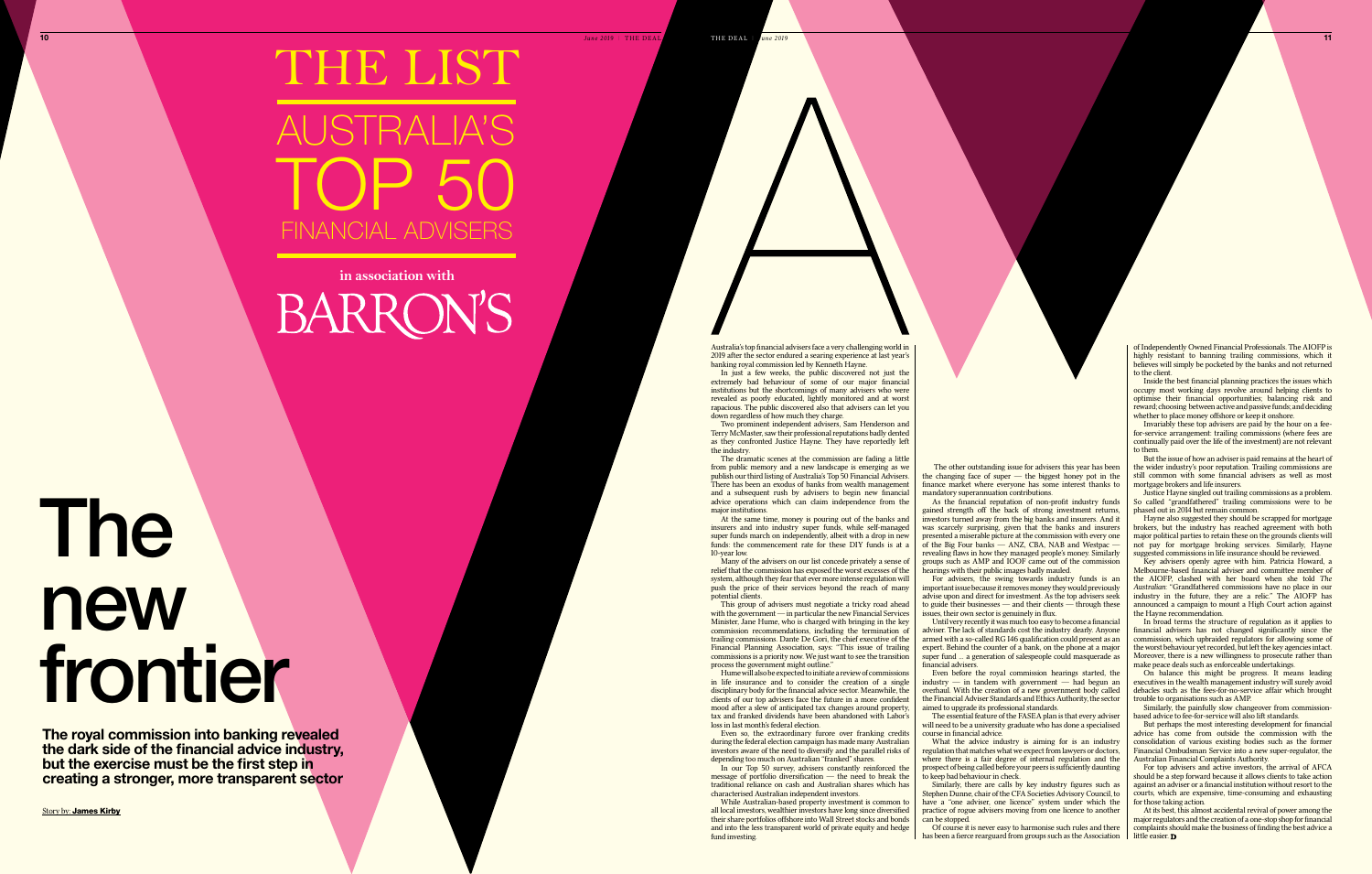Australia's top financial advisers face a very challenging world in 2019 after the sector endured a searing experience at last year's

banking royal commission led by Kenneth Hayne.

In just a few weeks, the public discovered not just the extremely bad behaviour of some of our major financial institutions but the shortcomings of many advisers who were revealed as poorly educated, lightly monitored and at worst rapacious. The public discovered also that advisers can let you

down regardless of how much they charge.

Two prominent independent advisers, Sam Henderson and Terry McMaster, saw their professional reputations badly dented as they confronted Justice Hayne. They have reportedly left

At the same time, money is pouring out of the banks and insurers and into industry super funds, while self-managed super funds march on independently, albeit with a drop in new funds: the commencement rate for these DIY funds is at a 10-year low.

the industry.

Many of the advisers on our list concede privately a sense of relief that the commission has exposed the worst excesses of the system, although they fear that ever more intense regulation will push the price of their services beyond the reach of many

This group of advisers must negotiate a tricky road ahead with the government — in particular the new Financial Services Minister, Jane Hume, who is charged with bringing in the key commission recommendations, including the termination of trailing commissions. Dante De Gori, the chief executive of the Financial Planning Association, says: "This issue of trailing commissions is a priority now. We just want to see the transition process the government might outline'

The dramatic scenes at the commission are fading a little from public memory and a new landscape is emerging as we publish our third listing of Australia's Top 50 Financial Advisers. There has been an exodus of banks from wealth management and a subsequent rush by advisers to begin new financial advice operations which can claim independence from the major institutions.

In our Top 50 survey, advisers constantly reinforced the message of portfolio diversification — the need to break the traditional reliance on cash and Australian shares which has characterised Australian independent investors. While Australian-based property investment is common to

potential clients.

As the financial reputation of non-profit industry funds gained strength off the back of strong investment returns, investors turned away from the big banks and insurers. And it was scarcely surprising, given that the banks and insurers presented a miserable picture at the commission with every one of the Big Four banks  $-$  ANZ, CBA, NAB and Westpac  $$ revealing flaws in how they managed people's money. Similarly groups such as AMP and IOOF came out of the commission hearings with their public images badly mauled.

Hume will also be expected to initiate a review of commissions in life insurance and to consider the creation of a single disciplinary body for the financial advice sector. Meanwhile, the clients of our top advisers face the future in a more confident mood after a slew of anticipated tax changes around property, tax and franked dividends have been abandoned with Labor's loss in last month's federal election.

The essential feature of the FASEA plan is that every adviser will need to be a university graduate who has done a specialised course in financial advice.

Even so, the extraordinary furore over franking credits during the federal election campaign has made many Australian investors aware of the need to diversify and the parallel risks of depending too much on Australian "franked" shares.

Inside the best financial planning practices the issues which occupy most working days revolve around helping clients to optimise their financial opportunities; balancing risk and reward; choosing between active and passive funds; and deciding whether to place money offshore or keep it onshore.

all local investors, wealthier investors have long since diversified their share portfolios offshore into Wall Street stocks and bonds and into the less transparent world of private equity and hedge

But the issue of how an adviser is paid remains at the heart of the wider industry's poor reputation. Trailing commissions are still common with some financial advisers as well as most mortgage brokers and life insurers.

fund investing.

The other outstanding issue for advisers this year has been the changing face of super — the biggest honey pot in the finance market where everyone has some interest thanks to mandatory superannuation contributions.

For advisers, the swing towards industry funds is an important issue because it removes money they would previously advise upon and direct for investment. As the top advisers seek to guide their businesses — and their clients — through these issues, their own sector is genuinely in flux.

> At its best, this almost accidental revival of power among the major regulators and the creation of a one-stop shop for financial complaints should make the business of finding the best advice a little easier. **D**

Until very recently it was much too easy to become a financial adviser. The lack of standards cost the industry dearly. Anyone armed with a so-called RG I46 qualification could present as an expert. Behind the counter of a bank, on the phone at a major super fund … a generation of salespeople could masquerade as financial advisers.

## **10** *June 2019* | THE DEAL AUSTRALIA'S financial advisers top 50 THE LIST

### **in association with BARRON'S**

Even before the royal commission hearings started, the  $\frac{1}{2}$ industry — in tandem with government — had begun an overhaul. With the creation of a new government body called the Financial Adviser Standards and Ethics Authority, the sector aimed to upgrade its professional standards.

What the advice industry is aiming for is an industry regulation that matches what we expect from lawyers or doctors, where there is a fair degree of internal regulation and the prospect of being called before your peers is sufficiently daunting to keep bad behaviour in check.

Similarly, there are calls by key industry figures such as Stephen Dunne, chair of the CFA Societies Advisory Council, to have a "one adviser, one licence" system under which the practice of rogue advisers moving from one licence to another can be stopped.

Of course it is never easy to harmonise such rules and there has been a fierce rearguard from groups such as the Association of Independently Owned Financial Professionals. The AIOFP is highly resistant to banning trailing commissions, which it believes will simply be pocketed by the banks and not returned to the client.

Invariably these top advisers are paid by the hour on a feefor-service arrangement: trailing commissions (where fees are continually paid over the life of the investment) are not relevant to them.

Justice Hayne singled out trailing commissions as a problem. So called "grandfathered" trailing commissions were to be phased out in 2014 but remain common.

Hayne also suggested they should be scrapped for mortgage brokers, but the industry has reached agreement with both major political parties to retain these on the grounds clients will not pay for mortgage broking services. Similarly, Hayne suggested commissions in life insurance should be reviewed.

Key advisers openly agree with him. Patricia Howard, a Melbourne-based financial adviser and committee member of the AIOFP, clashed with her board when she told *The Australian*: "Grandfathered commissions have no place in our industry in the future, they are a relic." The AIOFP has announced a campaign to mount a High Court action against the Hayne recommendation.

In broad terms the structure of regulation as it applies to financial advisers has not changed significantly since the commission, which upbraided regulators for allowing some of the worst behaviour yet recorded, but left the key agencies intact. Moreover, there is a new willingness to prosecute rather than make peace deals such as enforceable undertakings.

On balance this might be progress. It means leading executives in the wealth management industry will surely avoid debacles such as the fees-for-no-service affair which brought trouble to organisations such as AMP.

Similarly, the painfully slow changeover from commissionbased advice to fee-for-service will also lift standards.

But perhaps the most interesting development for financial advice has come from outside the commission with the consolidation of various existing bodies such as the former Financial Ombudsman Service into a new super-regulator, the Australian Financial Complaints Authority.

For top advisers and active investors, the arrival of AFCA should be a step forward because it allows clients to take action against an adviser or a financial institution without resort to the courts, which are expensive, time-consuming and exhausting for those taking action.

# The new frontier

**The royal commission into banking revealed the dark side of the financial advice industry, but the exercise must be the first step in creating a stronger, more transparent sector**

Story by: James Kirby